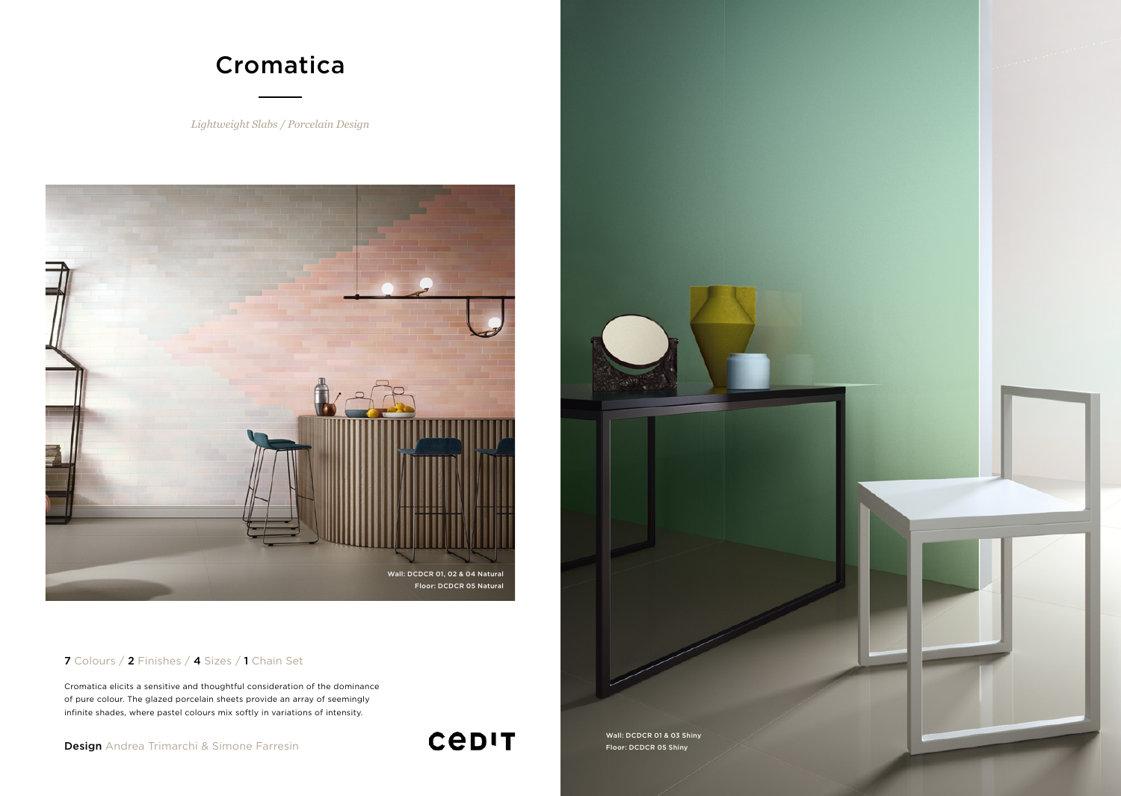

## 7 Colours / 2 Finishes / 4 Sizes / 1 Chain Set

Cromatica elicits a sensitive and thoughtful consideration of the dominance of pure colour. The glazed porcelain sheets provide an array of seemingly infinite shades, where pastel colours mix softly in variations of intensity.

Design Andrea Trimarchi & Simone Farresin Floor: Design Andrea Trimarchi & Simone Farresin Floor: Design Plane

Wall: DCDCR 01 & 03 Shiny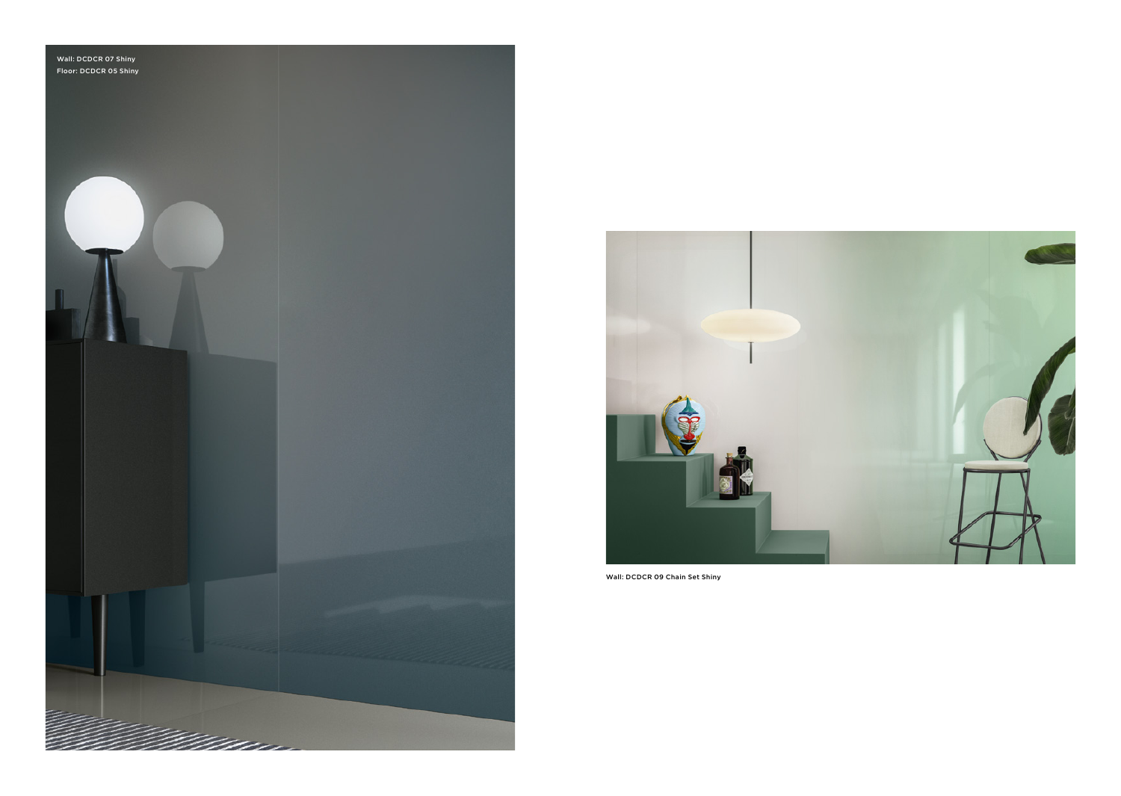



Wall: DCDCR 09 Chain Set Shiny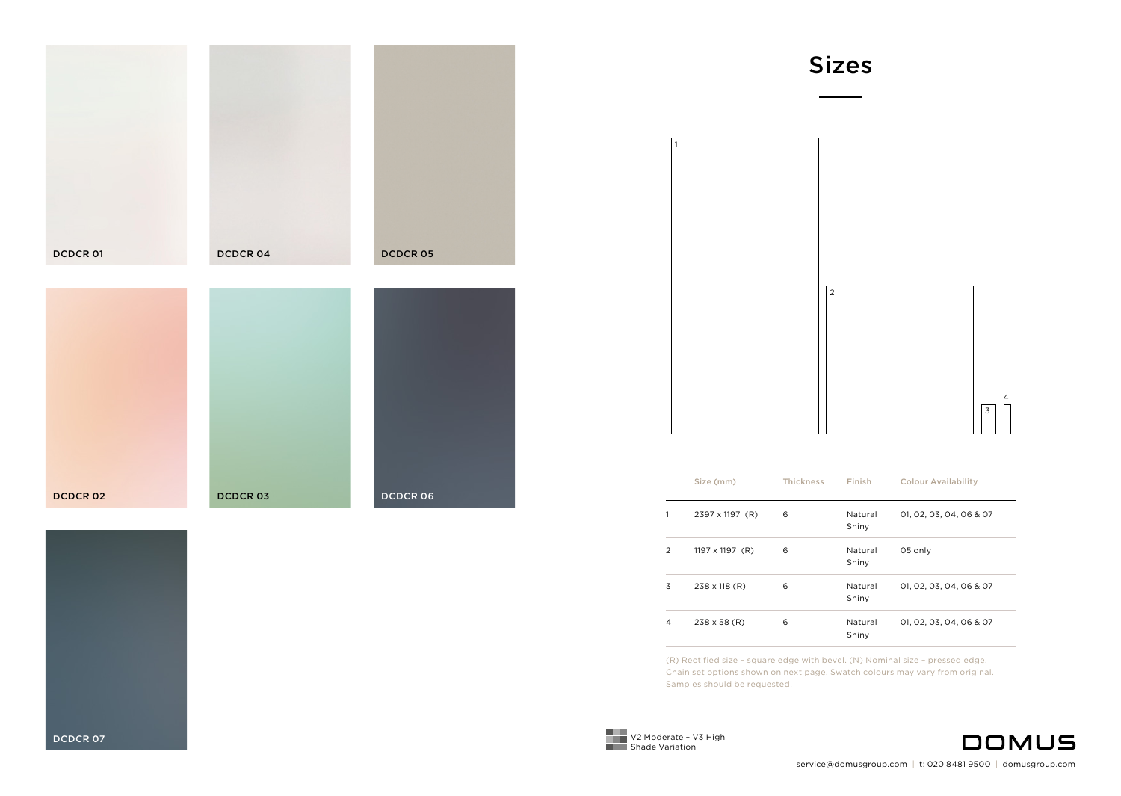| <b>DCDCR01</b> | <b>DCDCR04</b> | <b>DCDCR05</b>  |
|----------------|----------------|-----------------|
|                |                |                 |
|                |                |                 |
| <b>DCDCR02</b> | <b>DCDCR03</b> | <b>DCDCR 06</b> |



Sizes

|                | Size (mm)              | <b>Thickness</b> | Finish           | <b>Colour Availability</b> |
|----------------|------------------------|------------------|------------------|----------------------------|
| 1              | 2397 x 1197 (R)        | 6                | Natural<br>Shiny | 01, 02, 03, 04, 06 & 07    |
| $\overline{2}$ | $1197 \times 1197$ (R) | 6                | Natural<br>Shiny | 05 only                    |
| 3              | $238 \times 118$ (R)   | 6                | Natural<br>Shiny | 01.02.03.04.06 & 07        |
| 4              | $238 \times 58$ (R)    | 6                | Natural<br>Shiny | 01, 02, 03, 04, 06 & 07    |

(R) Rectified size – square edge with bevel. (N) Nominal size – pressed edge. Chain set options shown on next page. Swatch colours may vary from original. Samples should be requested.